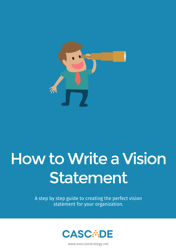

## How to Write a Vision Statement

A step by step guide to creating the perfect vision statement for your organization.



www.executestrategy.net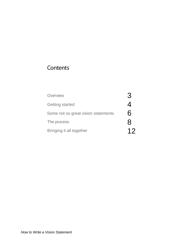## Contents

| Overview                            |     |
|-------------------------------------|-----|
| <b>Getting started</b>              |     |
| Some not so great vision statements | 6   |
| The process                         | 8   |
| Bringing it all together            | 1') |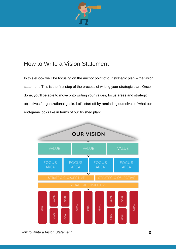

## How to Write a Vision Statement

In this eBook we'll be focusing on the anchor point of our strategic plan – the vision statement. This is the first step of the process of writing your strategic plan. Once done, you'll be able to move onto writing your values, focus areas and strategic objectives / organizational goals. Let's start off by reminding ourselves of what our end-game looks like in terms of our finished plan:

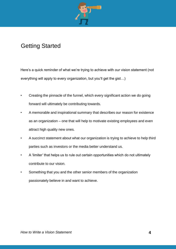

## Getting Started

Here's a quick reminder of what we're trying to achieve with our vision statement (not everything will apply to every organization, but you'll get the gist…)

- Creating the pinnacle of the funnel, which every significant action we do going forward will ultimately be contributing towards.
- A memorable and inspirational summary that describes our reason for existence as an organization – one that will help to motivate existing employees and even attract high quality new ones.
- A succinct statement about what our organization is trying to achieve to help third parties such as investors or the media better understand us.
- A 'limiter' that helps us to rule out certain opportunities which do not ultimately contribute to our vision.
- Something that you and the other senior members of the organization passionately believe in and want to achieve.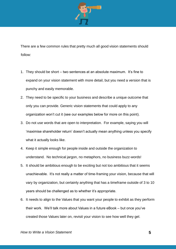

There are a few common rules that pretty much all good vision statements should follow:

- 1. They should be short two sentences at an absolute maximum. It's fine to expand on your vision statement with more detail, but you need a version that is punchy and easily memorable.
- 2. They need to be specific to your business and describe a unique outcome that only you can provide. Generic vision statements that could apply to any organization won't cut it (see our examples below for more on this point).
- 3. Do not use words that are open to interpretation. For example, saying you will 'maximise shareholder return' doesn't actually mean anything unless you specify what it actually looks like.
- 4. Keep it simple enough for people inside and outside the organization to understand. No technical jargon, no metaphors, no business buzz-words!
- 5. It should be ambitious enough to be exciting but not too ambitious that it seems unachievable. It's not really a matter of time-framing your vision, because that will vary by organization, but certainly anything that has a timeframe outside of 3 to 10 years should be challenged as to whether it's appropriate.
- 6. It needs to align to the Values that you want your people to exhibit as they perform their work. We'll talk more about Values in a future eBook – but once you've created those Values later on, revisit your vision to see how well they gel.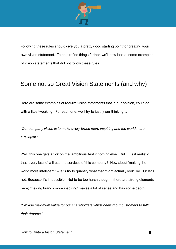

Following these rules should give you a pretty good starting point for creating your own vision statement. To help refine things further, we'll now look at some examples of vision statements that did not follow these rules…

## Some not so Great Vision Statements (and why)

Here are some examples of real-life vision statements that in our opinion, could do with a little tweaking. For each one, we'll try to justify our thinking...

*"Our company vision is to make every brand more inspiring and the world more intelligent."*

Well, this one gets a tick on the 'ambitious' test if nothing else. But..... is it realistic that 'every brand' will use the services of this company? How about 'making the world more intelligent.' – let's try to quantify what that might actually look like. Or let's not. Because it's impossible. Not to be too harsh though – there are strong elements here; 'making brands more inspiring' makes a lot of sense and has some depth.

*"Provide maximum value for our shareholders whilst helping our customers to fulfil their dreams."*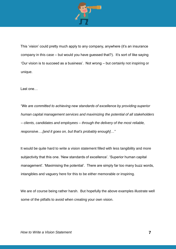

This 'vision' could pretty much apply to any company, anywhere (it's an insurance company in this case – but would you have guessed that?). It's sort of like saying 'Our vision is to succeed as a business'. Not wrong – but certainly not inspiring or unique.

Last one…

*"We are committed to achieving new standards of excellence by providing superior human capital management services and maximizing the potential of all stakeholders – clients, candidates and employees – through the delivery of the most reliable, responsive….[and it goes on, but that's probably enough]…"*

It would be quite hard to write a vision statement filled with less tangibility and more subjectivity that this one. 'New standards of excellence'. 'Superior human capital management'. 'Maximising the potential'. There are simply far too many buzz words, intangibles and vaguery here for this to be either memorable or inspiring.

We are of course being rather harsh. But hopefully the above examples illustrate well some of the pitfalls to avoid when creating your own vision.

**7**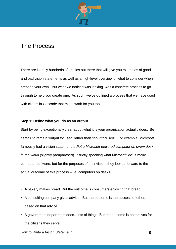

### The Process

There are literally hundreds of articles out there that will give you examples of good and bad vision statements as well as a high-level overview of what to consider when creating your own. But what we noticed was lacking was a concrete process to go through to help you create one. As such, we've outlined a process that we have used with clients in Cascade that might work for you too.

#### **Step 1: Define what you do as an output**

Start by being exceptionally clear about what it is your organization actually does. Be careful to remain 'output focused' rather than 'input focused'. For example, Microsoft famously had a vision statement to *Put a Microsoft powered computer on every desk in the world* (slightly paraphrased). Strictly speaking what Microsoft 'do' is make computer software, but for the purposes of their vision, they looked forward to the actual outcome of this process – i.e. computers on desks.

- A bakery makes bread. But the outcome is consumers enjoying that bread.
- A consulting company gives advice. But the outcome is the success of others based on that advice.
- A government department does…lots of things. But the outcome is better lives for the citizens they serve.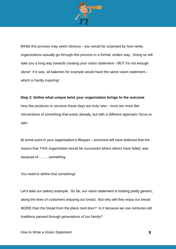

Whilst this process may seem obvious – you would be surprised by how rarely organizations actually go through this process in a formal, written way. Doing so will take you a long way towards creating your vision statement – BUT it's not enough alone! If it was, all bakeries for example would have the same vision statement – which is hardly inspiring!

#### **Step 2: Define what unique twist your organization brings to the outcome**

Very few products or services these days are truly new – most are more like reinventions of something that exists already, but with a different approach, focus or spin.

At some point in your organization's lifespan – someone will have believed that the reason that THIS organization would be successful where others have failed, was because of………something.

#### *You need to define that something!*

Let's take our bakery example. So far, our vision statement is looking pretty generic, along the lines of customers enjoying our bread. But why will they enjoy our bread MORE than the bread from the place next door? Is it because we use centuries old traditions passed through generations of our family?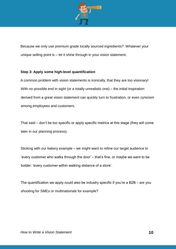

Because we only use premium grade locally sourced ingredients? Whatever your unique selling point is – let it shine through in your vision statement.

#### **Step 3: Apply some high-level quantification**

A common problem with vision statements is ironically, that they are too visionary! With no possible end in sight (or a totally unrealistic one) – the initial inspiration derived from a great vision statement can quickly turn to frustration, or even cynicism among employees and customers.

That said – don't be too specific or apply specific metrics at this stage (they will come later in our planning process).

Sticking with our bakery example – we might want to refine our target audience to 'every customer who walks through the door' – that's fine, or maybe we want to be bolder: 'every customer within walking distance of a store'.

The quantification we apply could also be industry specific if you're a B2B – are you shooting for SMEs or multinationals for example?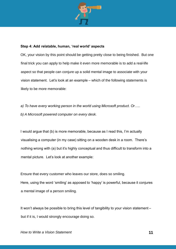

#### **Step 4: Add relatable, human, 'real world' aspects**

OK, your vision by this point should be getting pretty close to being finished. But one final trick you can apply to help make it even more memorable is to add a real-life aspect so that people can conjure up a solid mental image to associate with your vision statement. Let's look at an example – which of the following statements is likely to be more memorable:

*a) To have every working person in the world using Microsoft product. Or….. b) A Microsoft powered computer on every desk.*

I would argue that (b) is more memorable, because as I read this, I'm actually visualising a computer (in my case) sitting on a wooden desk in a room. There's nothing wrong with (a) but it's highly conceptual and thus difficult to transform into a mental picture. Let's look at another example:

Ensure that every customer who leaves our store, does so smiling. Here, using the word 'smiling' as apposed to 'happy' is powerful, because it conjures a mental image of a person smiling.

It won't always be possible to bring this level of tangibility to your vision statement – but if it is, I would strongly encourage doing so.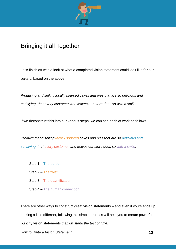

## Bringing it all Together

Let's finish off with a look at what a completed vision statement could look like for our bakery, based on the above:

*Producing and selling locally sourced cakes and pies that are so delicious and satisfying, that every customer who leaves our store does so with a smile.*

If we deconstruct this into our various steps, we can see each at work as follows:

*Producing and selling locally sourced cakes and pies that are so delicious and satisfying, that every customer who leaves our store does so with a smile.*

- Step 1 The output
- Step 2 The twist
- Step 3 The quantification
- Step 4 The human connection

There are other ways to construct great vision statements – and even if yours ends up looking a little different, following this simple process will help you to create powerful, punchy vision statements that will *stand the test of time.*